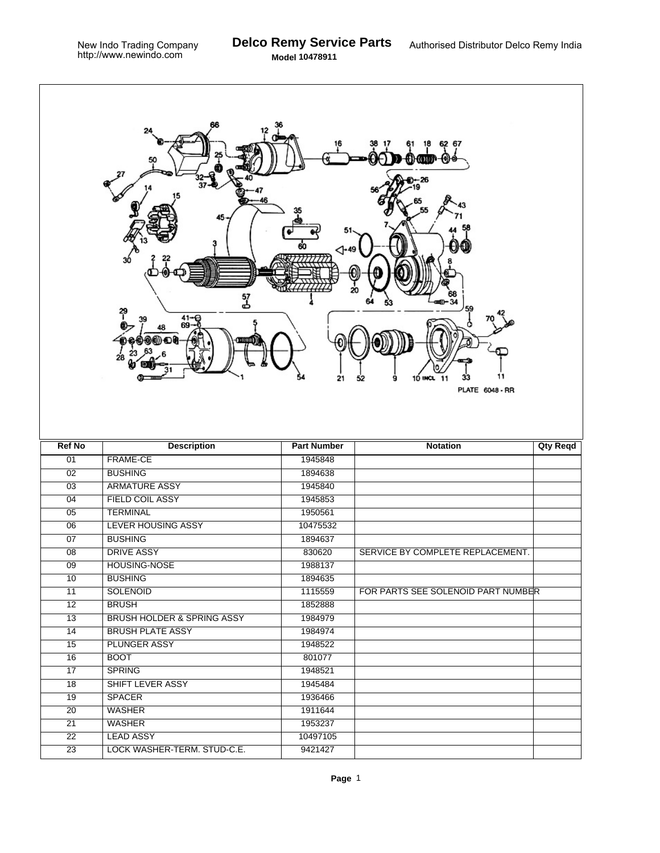Г

| 6267<br>4∙<br>57<br>ط<br>41–€<br>69<br>28<br>11<br>21<br>10 INCL<br>11<br>33<br>52<br>9<br><b>PLATE 6048 - RR</b> |                                                 |                     |                                    |                 |  |  |  |
|-------------------------------------------------------------------------------------------------------------------|-------------------------------------------------|---------------------|------------------------------------|-----------------|--|--|--|
| <b>Ref No</b>                                                                                                     | <b>Description</b>                              | <b>Part Number</b>  | <b>Notation</b>                    | <b>Qty Reqd</b> |  |  |  |
| 01                                                                                                                | FRAME-CE                                        | 1945848             |                                    |                 |  |  |  |
| 02                                                                                                                |                                                 |                     |                                    |                 |  |  |  |
|                                                                                                                   | <b>BUSHING</b>                                  | 1894638             |                                    |                 |  |  |  |
| $\overline{03}$                                                                                                   | <b>ARMATURE ASSY</b>                            | 1945840             |                                    |                 |  |  |  |
| 04                                                                                                                | <b>FIELD COIL ASSY</b>                          | 1945853             |                                    |                 |  |  |  |
| 05                                                                                                                | <b>TERMINAL</b>                                 | 1950561             |                                    |                 |  |  |  |
| 06                                                                                                                | <b>LEVER HOUSING ASSY</b>                       | 10475532            |                                    |                 |  |  |  |
| 07                                                                                                                | <b>BUSHING</b>                                  | 1894637             |                                    |                 |  |  |  |
| 08                                                                                                                | <b>DRIVE ASSY</b>                               | 830620              | SERVICE BY COMPLETE REPLACEMENT.   |                 |  |  |  |
| $\overline{09}$                                                                                                   | <b>HOUSING-NOSE</b>                             | 1988137             |                                    |                 |  |  |  |
| 10                                                                                                                | <b>BUSHING</b>                                  | 1894635             |                                    |                 |  |  |  |
| 11                                                                                                                | <b>SOLENOID</b>                                 | 1115559             | FOR PARTS SEE SOLENOID PART NUMBER |                 |  |  |  |
| $\overline{12}$                                                                                                   | <b>BRUSH</b>                                    | 1852888             |                                    |                 |  |  |  |
| 13                                                                                                                | BRUSH HOLDER & SPRING ASSY                      | 1984979             |                                    |                 |  |  |  |
| 14                                                                                                                | <b>BRUSH PLATE ASSY</b>                         | 1984974             |                                    |                 |  |  |  |
| $\overline{15}$                                                                                                   | <b>PLUNGER ASSY</b>                             | 1948522             |                                    |                 |  |  |  |
| 16                                                                                                                | <b>BOOT</b>                                     | 801077              |                                    |                 |  |  |  |
| 17                                                                                                                | <b>SPRING</b>                                   | 1948521             |                                    |                 |  |  |  |
| $\overline{18}$                                                                                                   | SHIFT LEVER ASSY                                | 1945484             |                                    |                 |  |  |  |
| 19                                                                                                                | <b>SPACER</b>                                   | 1936466             |                                    |                 |  |  |  |
| $\overline{20}$                                                                                                   | <b>WASHER</b>                                   | 1911644             |                                    |                 |  |  |  |
| $\overline{21}$                                                                                                   | <b>WASHER</b>                                   | 1953237             |                                    |                 |  |  |  |
| $\overline{22}$<br>$\overline{23}$                                                                                | <b>LEAD ASSY</b><br>LOCK WASHER-TERM. STUD-C.E. | 10497105<br>9421427 |                                    |                 |  |  |  |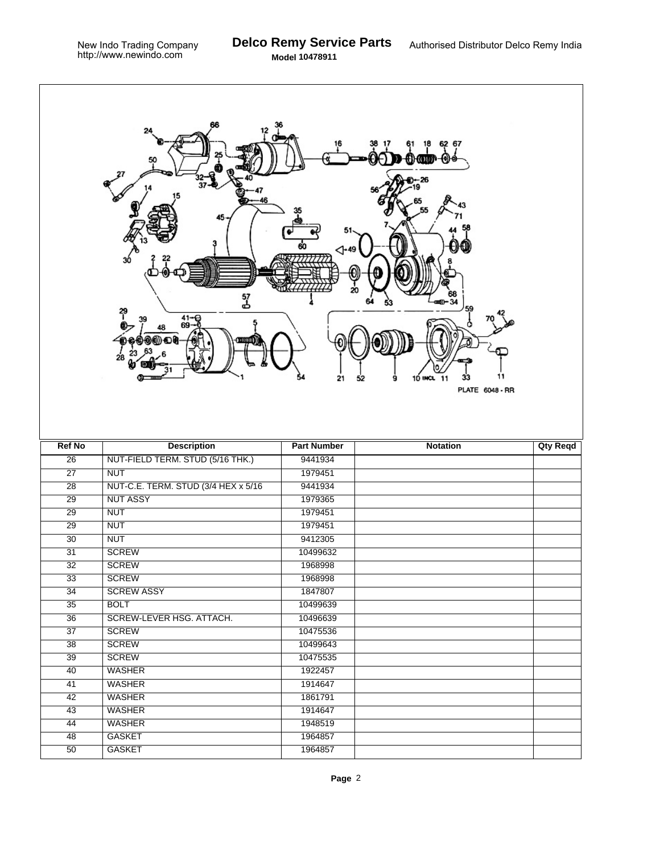٦

|                 | 37<br>45<br>30<br>រ<br>3<br>$^{41-6}_{69-6}$<br>39<br>28 | ⊲-"<br>21          | 62 67<br>-tom<br>-- 26<br>20<br>59<br>11<br>9<br>10 INCL 11<br>33<br>52<br><b>PLATE 6048 - RR</b> |                 |
|-----------------|----------------------------------------------------------|--------------------|---------------------------------------------------------------------------------------------------|-----------------|
| <b>Ref No</b>   | <b>Description</b>                                       | <b>Part Number</b> | <b>Notation</b>                                                                                   | <b>Qty Reqd</b> |
| $\overline{26}$ | NUT-FIELD TERM. STUD (5/16 THK.)                         | 9441934            |                                                                                                   |                 |
| $\overline{27}$ | <b>NUT</b>                                               | 1979451            |                                                                                                   |                 |
| $\overline{28}$ | NUT-C.E. TERM. STUD (3/4 HEX x 5/16)                     | 9441934            |                                                                                                   |                 |
| $\overline{29}$ | <b>NUT ASSY</b>                                          | 1979365            |                                                                                                   |                 |
| 29              | <b>NUT</b>                                               | 1979451            |                                                                                                   |                 |
| $\overline{29}$ | <b>NUT</b>                                               | 1979451            |                                                                                                   |                 |
| $\overline{30}$ | <b>NUT</b>                                               | 9412305            |                                                                                                   |                 |
| 31              | <b>SCREW</b>                                             | 10499632           |                                                                                                   |                 |
| $\overline{32}$ | <b>SCREW</b>                                             | 1968998            |                                                                                                   |                 |
| 33              | <b>SCREW</b>                                             | 1968998            |                                                                                                   |                 |
| 34              | <b>SCREW ASSY</b>                                        | 1847807            |                                                                                                   |                 |
| $\overline{35}$ | <b>BOLT</b>                                              | 10499639           |                                                                                                   |                 |
| $\overline{36}$ | SCREW-LEVER HSG. ATTACH.                                 | 10496639           |                                                                                                   |                 |
| 37              | <b>SCREW</b>                                             | 10475536           |                                                                                                   |                 |
| $\overline{38}$ | <b>SCREW</b>                                             | 10499643           |                                                                                                   |                 |
| 39              | <b>SCREW</b>                                             | 10475535           |                                                                                                   |                 |
| 40              | <b>WASHER</b>                                            | 1922457            |                                                                                                   |                 |
| $\overline{41}$ | <b>WASHER</b>                                            | 1914647            |                                                                                                   |                 |
| 42              | <b>WASHER</b>                                            | 1861791            |                                                                                                   |                 |
| $\overline{43}$ | <b>WASHER</b>                                            |                    |                                                                                                   |                 |
| $\overline{44}$ |                                                          | 1914647            |                                                                                                   |                 |
|                 | <b>WASHER</b>                                            | 1948519            |                                                                                                   |                 |
| 48              | <b>GASKET</b>                                            | 1964857            |                                                                                                   |                 |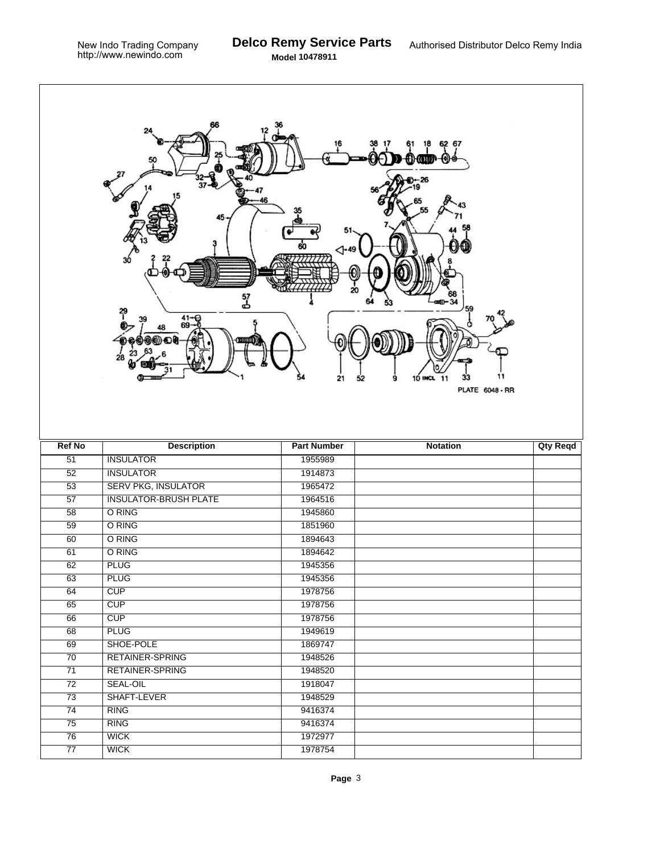٦

|                       | 66<br>24<br>37<br>45<br>30<br>រ<br>3<br>$^{41-9}_{69-0}$<br>39<br>00 D U<br>28 | 60<br>⊲-49<br>21   | 62 67<br>18<br>ΘΗ<br>34,961)<br>⊢26<br>20<br>59<br>11<br>9<br>10 INCL 11<br>33<br>52<br><b>PLATE 6048 - RR</b> |                 |
|-----------------------|--------------------------------------------------------------------------------|--------------------|----------------------------------------------------------------------------------------------------------------|-----------------|
| <b>Ref No</b>         | <b>Description</b>                                                             | <b>Part Number</b> | <b>Notation</b>                                                                                                | <b>Qty Reqd</b> |
| $\overline{51}$       | <b>INSULATOR</b>                                                               | 1955989            |                                                                                                                |                 |
| 52                    | <b>INSULATOR</b>                                                               | 1914873            |                                                                                                                |                 |
| $\overline{53}$       | <b>SERV PKG, INSULATOR</b>                                                     | 1965472            |                                                                                                                |                 |
| $\overline{57}$       | <b>INSULATOR-BRUSH PLATE</b>                                                   | 1964516            |                                                                                                                |                 |
| 58                    | O RING                                                                         | 1945860            |                                                                                                                |                 |
| $\overline{59}$       | O RING                                                                         | 1851960            |                                                                                                                |                 |
| 60                    | O RING                                                                         | 1894643            |                                                                                                                |                 |
| 61                    | O RING                                                                         | 1894642            |                                                                                                                |                 |
| $\overline{62}$       | <b>PLUG</b>                                                                    | 1945356            |                                                                                                                |                 |
| 63                    | <b>PLUG</b>                                                                    | 1945356            |                                                                                                                |                 |
| 64                    | CUP                                                                            | 1978756            |                                                                                                                |                 |
| 65                    | CUP                                                                            | 1978756            |                                                                                                                |                 |
| 66                    | CUP                                                                            | 1978756            |                                                                                                                |                 |
| 68                    | <b>PLUG</b>                                                                    | 1949619            |                                                                                                                |                 |
| 69                    | SHOE-POLE                                                                      | 1869747            |                                                                                                                |                 |
| 70                    | RETAINER-SPRING                                                                | 1948526            |                                                                                                                |                 |
| 71                    | RETAINER-SPRING                                                                | 1948520            |                                                                                                                |                 |
| $\overline{72}$       | <b>SEAL-OIL</b>                                                                | 1918047            |                                                                                                                |                 |
| 73                    |                                                                                |                    |                                                                                                                |                 |
|                       | SHAFT-LEVER                                                                    | 1948529            |                                                                                                                |                 |
| $\overline{74}$       | <b>RING</b>                                                                    | 9416374            |                                                                                                                |                 |
| 75                    | <b>RING</b>                                                                    | 9416374            |                                                                                                                |                 |
| 76<br>$\overline{77}$ | <b>WICK</b><br><b>WICK</b>                                                     | 1972977<br>1978754 |                                                                                                                |                 |